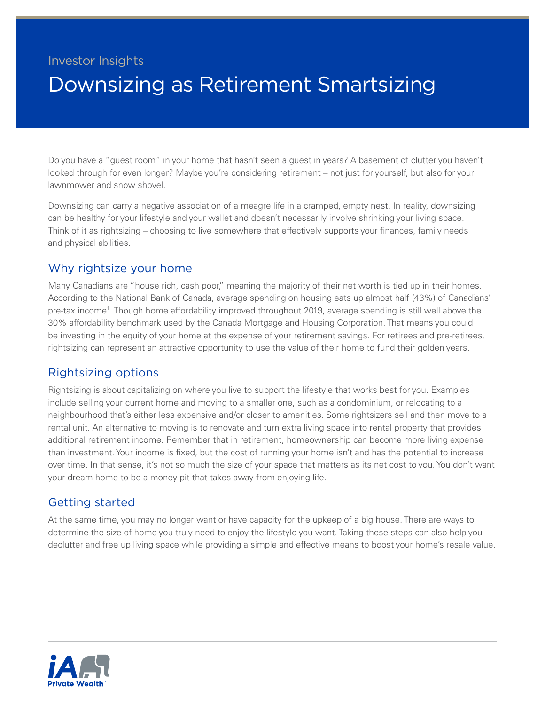# Investor Insights Downsizing as Retirement Smartsizing

Do you have a "guest room" in your home that hasn't seen a guest in years? A basement of clutter you haven't looked through for even longer? Maybe you're considering retirement – not just for yourself, but also for your lawnmower and snow shovel.

Downsizing can carry a negative association of a meagre life in a cramped, empty nest. In reality, downsizing can be healthy for your lifestyle and your wallet and doesn't necessarily involve shrinking your living space. Think of it as rightsizing – choosing to live somewhere that effectively supports your finances, family needs and physical abilities.

## Why rightsize your home

Many Canadians are "house rich, cash poor," meaning the majority of their net worth is tied up in their homes. According to the National Bank of Canada, average spending on housing eats up almost half (43%) of Canadians' pre-tax income<sup>1</sup>. Though home affordability improved throughout 2019, average spending is still well above the 30% affordability benchmark used by the Canada Mortgage and Housing Corporation. That means you could be investing in the equity of your home at the expense of your retirement savings. For retirees and pre-retirees, rightsizing can represent an attractive opportunity to use the value of their home to fund their golden years.

## Rightsizing options

Rightsizing is about capitalizing on where you live to support the lifestyle that works best for you. Examples include selling your current home and moving to a smaller one, such as a condominium, or relocating to a neighbourhood that's either less expensive and/or closer to amenities. Some rightsizers sell and then move to a rental unit. An alternative to moving is to renovate and turn extra living space into rental property that provides additional retirement income. Remember that in retirement, homeownership can become more living expense than investment. Your income is fixed, but the cost of running your home isn't and has the potential to increase over time. In that sense, it's not so much the size of your space that matters as its net cost to you. You don't want your dream home to be a money pit that takes away from enjoying life.

## Getting started

At the same time, you may no longer want or have capacity for the upkeep of a big house. There are ways to determine the size of home you truly need to enjoy the lifestyle you want. Taking these steps can also help you declutter and free up living space while providing a simple and effective means to boost your home's resale value.